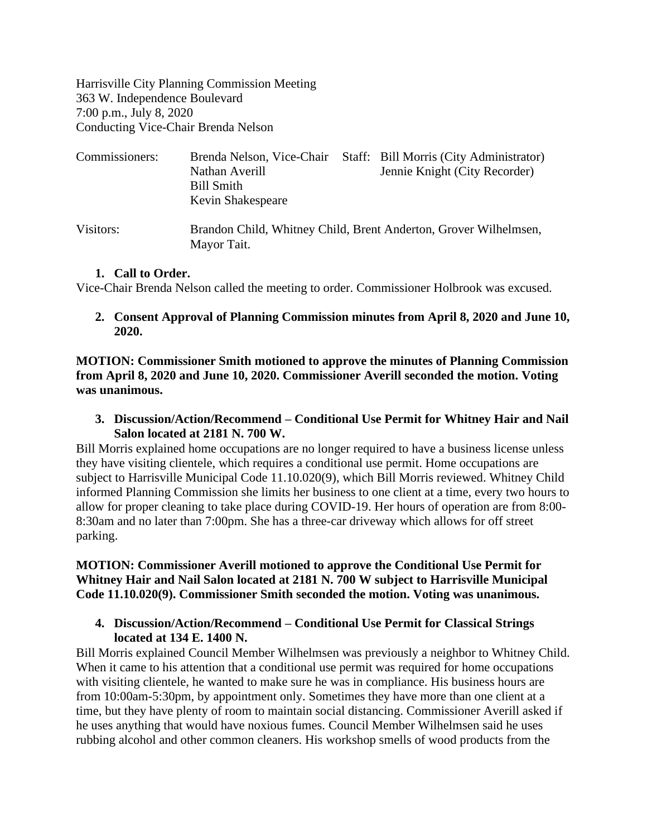Harrisville City Planning Commission Meeting 363 W. Independence Boulevard 7:00 p.m., July 8, 2020 Conducting Vice-Chair Brenda Nelson

| Commissioners: | Brenda Nelson, Vice-Chair<br>Nathan Averill<br><b>Bill Smith</b><br>Kevin Shakespeare | Staff: Bill Morris (City Administrator)<br>Jennie Knight (City Recorder) |
|----------------|---------------------------------------------------------------------------------------|--------------------------------------------------------------------------|
| Visitors:      | Mayor Tait.                                                                           | Brandon Child, Whitney Child, Brent Anderton, Grover Wilhelmsen,         |

#### **1. Call to Order.**

Vice-Chair Brenda Nelson called the meeting to order. Commissioner Holbrook was excused.

**2. Consent Approval of Planning Commission minutes from April 8, 2020 and June 10, 2020.**

**MOTION: Commissioner Smith motioned to approve the minutes of Planning Commission from April 8, 2020 and June 10, 2020. Commissioner Averill seconded the motion. Voting was unanimous.**

**3. Discussion/Action/Recommend – Conditional Use Permit for Whitney Hair and Nail Salon located at 2181 N. 700 W.**

Bill Morris explained home occupations are no longer required to have a business license unless they have visiting clientele, which requires a conditional use permit. Home occupations are subject to Harrisville Municipal Code 11.10.020(9), which Bill Morris reviewed. Whitney Child informed Planning Commission she limits her business to one client at a time, every two hours to allow for proper cleaning to take place during COVID-19. Her hours of operation are from 8:00- 8:30am and no later than 7:00pm. She has a three-car driveway which allows for off street parking.

## **MOTION: Commissioner Averill motioned to approve the Conditional Use Permit for Whitney Hair and Nail Salon located at 2181 N. 700 W subject to Harrisville Municipal Code 11.10.020(9). Commissioner Smith seconded the motion. Voting was unanimous.**

### **4. Discussion/Action/Recommend – Conditional Use Permit for Classical Strings located at 134 E. 1400 N.**

Bill Morris explained Council Member Wilhelmsen was previously a neighbor to Whitney Child. When it came to his attention that a conditional use permit was required for home occupations with visiting clientele, he wanted to make sure he was in compliance. His business hours are from 10:00am-5:30pm, by appointment only. Sometimes they have more than one client at a time, but they have plenty of room to maintain social distancing. Commissioner Averill asked if he uses anything that would have noxious fumes. Council Member Wilhelmsen said he uses rubbing alcohol and other common cleaners. His workshop smells of wood products from the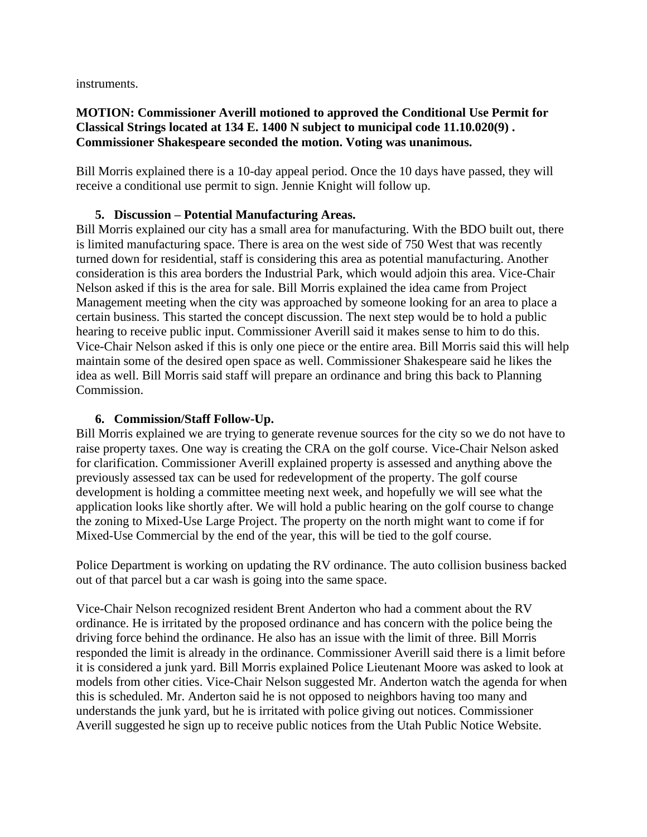instruments.

## **MOTION: Commissioner Averill motioned to approved the Conditional Use Permit for Classical Strings located at 134 E. 1400 N subject to municipal code 11.10.020(9) . Commissioner Shakespeare seconded the motion. Voting was unanimous.**

Bill Morris explained there is a 10-day appeal period. Once the 10 days have passed, they will receive a conditional use permit to sign. Jennie Knight will follow up.

# **5. Discussion – Potential Manufacturing Areas.**

Bill Morris explained our city has a small area for manufacturing. With the BDO built out, there is limited manufacturing space. There is area on the west side of 750 West that was recently turned down for residential, staff is considering this area as potential manufacturing. Another consideration is this area borders the Industrial Park, which would adjoin this area. Vice-Chair Nelson asked if this is the area for sale. Bill Morris explained the idea came from Project Management meeting when the city was approached by someone looking for an area to place a certain business. This started the concept discussion. The next step would be to hold a public hearing to receive public input. Commissioner Averill said it makes sense to him to do this. Vice-Chair Nelson asked if this is only one piece or the entire area. Bill Morris said this will help maintain some of the desired open space as well. Commissioner Shakespeare said he likes the idea as well. Bill Morris said staff will prepare an ordinance and bring this back to Planning Commission.

### **6. Commission/Staff Follow-Up.**

Bill Morris explained we are trying to generate revenue sources for the city so we do not have to raise property taxes. One way is creating the CRA on the golf course. Vice-Chair Nelson asked for clarification. Commissioner Averill explained property is assessed and anything above the previously assessed tax can be used for redevelopment of the property. The golf course development is holding a committee meeting next week, and hopefully we will see what the application looks like shortly after. We will hold a public hearing on the golf course to change the zoning to Mixed-Use Large Project. The property on the north might want to come if for Mixed-Use Commercial by the end of the year, this will be tied to the golf course.

Police Department is working on updating the RV ordinance. The auto collision business backed out of that parcel but a car wash is going into the same space.

Vice-Chair Nelson recognized resident Brent Anderton who had a comment about the RV ordinance. He is irritated by the proposed ordinance and has concern with the police being the driving force behind the ordinance. He also has an issue with the limit of three. Bill Morris responded the limit is already in the ordinance. Commissioner Averill said there is a limit before it is considered a junk yard. Bill Morris explained Police Lieutenant Moore was asked to look at models from other cities. Vice-Chair Nelson suggested Mr. Anderton watch the agenda for when this is scheduled. Mr. Anderton said he is not opposed to neighbors having too many and understands the junk yard, but he is irritated with police giving out notices. Commissioner Averill suggested he sign up to receive public notices from the Utah Public Notice Website.